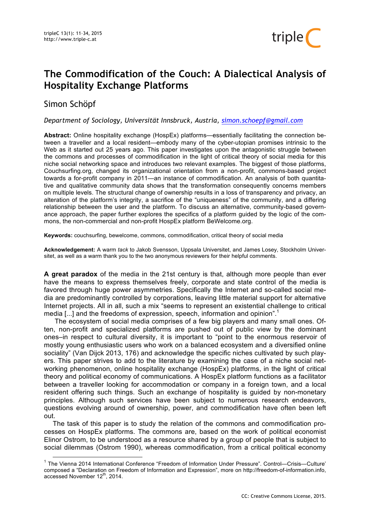

# Simon Schöpf

*Department of Sociology, Universität Innsbruck, Austria, simon.schoepf@gmail.com*

**Abstract:** Online hospitality exchange (HospEx) platforms—essentially facilitating the connection between a traveller and a local resident—embody many of the cyber-utopian promises intrinsic to the Web as it started out 25 years ago. This paper investigates upon the antagonistic struggle between the commons and processes of commodification in the light of critical theory of social media for this niche social networking space and introduces two relevant examples. The biggest of those platforms, Couchsurfing.org, changed its organizational orientation from a non-profit, commons-based project towards a for-profit company in 2011—an instance of commodification. An analysis of both quantitative and qualitative community data shows that the transformation consequently concerns members on multiple levels. The structural change of ownership results in a loss of transparency and privacy, an alteration of the platform's integrity, a sacrifice of the "uniqueness" of the community, and a differing relationship between the user and the platform. To discuss an alternative, community-based governance approach, the paper further explores the specifics of a platform guided by the logic of the commons, the non-commercial and non-profit HospEx platform BeWelcome.org.

**Keywords:** couchsurfing, bewelcome, commons, commodification, critical theory of social media

**Acknowledgement:** A warm *tack* to Jakob Svensson, Uppsala Universitet, and James Losey, Stockholm Universitet, as well as a warm thank you to the two anonymous reviewers for their helpful comments.

**A great paradox** of the media in the 21st century is that, although more people than ever have the means to express themselves freely, corporate and state control of the media is favored through huge power asymmetries. Specifically the Internet and so-called social media are predominantly controlled by corporations, leaving little material support for alternative Internet projects. All in all, such a mix "seems to represent an existential challenge to critical media [...] and the freedoms of expression, speech, information and opinion".<sup>1</sup>

The ecosystem of social media comprises of a few big players and many small ones. Often, non-profit and specialized platforms are pushed out of public view by the dominant ones–in respect to cultural diversity, it is important to "point to the enormous reservoir of mostly young enthusiastic users who work on a balanced ecosystem and a diversified online sociality" (Van Dijck 2013, 176) and acknowledge the specific niches cultivated by such players. This paper strives to add to the literature by examining the case of a niche social networking phenomenon, online hospitality exchange (HospEx) platforms, in the light of critical theory and political economy of communications. A HospEx platform functions as a facilitator between a traveller looking for accommodation or company in a foreign town, and a local resident offering such things. Such an exchange of hospitality is guided by non-monetary principles. Although such services have been subject to numerous research endeavors, questions evolving around of ownership, power, and commodification have often been left out.

The task of this paper is to study the relation of the commons and commodification processes on HospEx platforms. The commons are, based on the work of political economist Elinor Ostrom, to be understood as a resource shared by a group of people that is subject to social dilemmas (Ostrom 1990), whereas commodification, from a critical political economy

triple<sup>1</sup>

 <sup>1</sup> The Vienna 2014 International Conference "Freedom of Information Under Pressure". Control—Crisis—Culture' composed a "Declaration on Freedom of Information and Expression", more on http://freedom-of-information.info, accessed November 12th, 2014.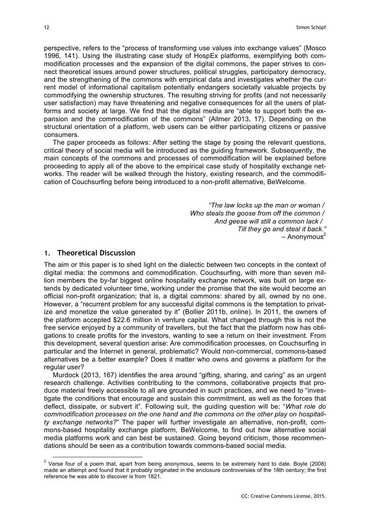perspective, refers to the "process of transforming use values into exchange values" (Mosco 1996, 141). Using the illustrating case study of HospEx platforms, exemplifying both commodification processes and the expansion of the digital commons, the paper strives to connect theoretical issues around power structures, political struggles, participatory democracy, and the strengthening of the commons with empirical data and investigates whether the current model of informational capitalism potentially endangers societally valuable projects by commodifying the ownership structures. The resulting striving for profits (and not necessarily user satisfaction) may have threatening and negative consequences for all the users of platforms and society at large. We find that the digital media are "able to support both the expansion and the commodification of the commons" (Allmer 2013, 17). Depending on the structural orientation of a platform, web users can be either participating citizens or passive consumers.

The paper proceeds as follows: After setting the stage by posing the relevant questions, critical theory of social media will be introduced as the guiding framework. Subsequently, the main concepts of the commons and processes of commodification will be explained before proceeding to apply all of the above to the empirical case study of hospitality exchange networks. The reader will be walked through the history, existing research, and the commodification of Couchsurfing before being introduced to a non-profit alternative, BeWelcome.

> *"The law locks up the man or woman / Who steals the goose from off the common / And geese will still a common lack / Till they go and steal it back."*  $-$  Anonymous<sup>2</sup>

# **1. Theoretical Discussion**

The aim or this paper is to shed light on the dialectic between two concepts in the context of digital media: the commons and commodification. Couchsurfing, with more than seven million members the by-far biggest online hospitality exchange network, was built on large extends by dedicated volunteer time, working under the promise that the site would become an official non-profit organization; that is, a digital commons: shared by all, owned by no one. However, a "recurrent problem for any successful digital commons is the temptation to privatize and monetize the value generated by it" (Bollier 2011b, online). In 2011, the owners of the platform accepted \$22.6 million in venture capital. What changed through this is not the free service enjoyed by a community of travellers, but the fact that the platform now has obligations to create profits for the investors, wanting to see a return on their investment. From this development, several question arise: Are commodification processes, on Couchsurfing in particular and the Internet in general, problematic? Would non-commercial, commons-based alternatives be a better example? Does it matter who owns and governs a platform for the regular user?

Murdock (2013, 167) identifies the area around "gifting, sharing, and caring" as an urgent research challenge. Activities contributing to the commons, collaborative projects that produce material freely accessible to all are grounded in such practices, and we need to "investigate the conditions that encourage and sustain this commitment, as well as the forces that deflect, dissipate, or subvert it". Following suit, the guiding question will be: "*What role do commodification processes on the one hand and the commons on the other play on hospitality exchange networks?*" The paper will further investigate an alternative, non-profit, commons-based hospitality exchange platform, BeWelcome, to find out how alternative social media platforms work and can best be sustained. Going beyond criticism, those recommendations should be seen as a contribution towards commons-based social media.

 $2$  Verse four of a poem that, apart from being anonymous, seems to be extremely hard to date. Boyle (2008) made an attempt and found that it probably originated in the enclosure controversies of the 18th century; the first reference he was able to discover is from 1821.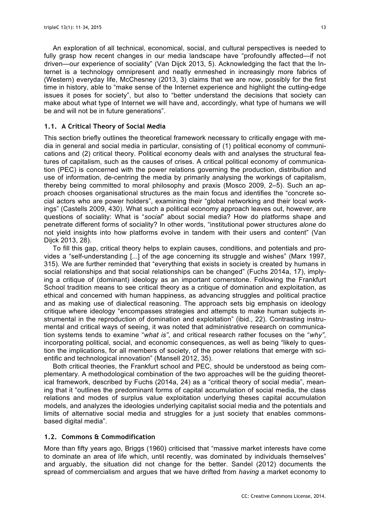An exploration of all technical, economical, social, and cultural perspectives is needed to fully grasp how recent changes in our media landscape have "profoundly affected—if not driven—our experience of sociality" (Van Dijck 2013, 5). Acknowledging the fact that the Internet is a technology omnipresent and neatly enmeshed in increasingly more fabrics of (Western) everyday life, McChesney (2013, 3) claims that we are now, possibly for the first time in history, able to "make sense of the Internet experience and highlight the cutting-edge issues it poses for society", but also to "better understand the decisions that society can make about what type of Internet we will have and, accordingly, what type of humans we will be and will not be in future generations".

## **1.1. A Critical Theory of Social Media**

This section briefly outlines the theoretical framework necessary to critically engage with media in general and social media in particular, consisting of (1) political economy of communications and (2) critical theory. Political economy deals with and analyses the structural features of capitalism, such as the causes of crises. A critical political economy of communication (PEC) is concerned with the power relations governing the production, distribution and use of information, de-centring the media by primarily analysing the workings of capitalism, thereby being committed to moral philosophy and praxis (Mosco 2009, 2–5). Such an approach chooses organisational structures as the main focus and identifies the "concrete social actors who are power holders", examining their "global networking and their local workings" (Castells 2009, 430). What such a political economy approach leaves out, however, are questions of sociality: What is "*social*" about social media? How do platforms shape and penetrate different forms of sociality? In other words, "institutional power structures *alone* do not yield insights into how platforms evolve in tandem with their users and content" (Van Dijck 2013, 28).

To fill this gap, critical theory helps to explain causes, conditions, and potentials and provides a "self-understanding [...] of the age concerning its struggle and wishes" (Marx 1997, 315). We are further reminded that "everything that exists in society is created by humans in social relationships and that social relationships can be changed" (Fuchs 2014a, 17), implying a critique of (dominant) ideology as an important cornerstone. Following the Frankfurt School tradition means to see critical theory as a critique of domination and exploitation, as ethical and concerned with human happiness, as advancing struggles and political practice and as making use of dialectical reasoning. The approach sets big emphasis on ideology critique where ideology "encompasses strategies and attempts to make human subjects instrumental in the reproduction of domination and exploitation" (ibid., 22). Contrasting instrumental and critical ways of seeing, it was noted that administrative research on communication systems tends to examine "*what is"*, and critical research rather focuses on the "*why"*, incorporating political, social, and economic consequences, as well as being "likely to question the implications, for all members of society, of the power relations that emerge with scientific and technological innovation" (Mansell 2012, 35).

Both critical theories, the Frankfurt school and PEC, should be understood as being complementary. A methodological combination of the two approaches will be the guiding theoretical framework, described by Fuchs (2014a, 24) as a "critical theory of social media", meaning that it "outlines the predominant forms of capital accumulation of social media, the class relations and modes of surplus value exploitation underlying theses capital accumulation models, and analyzes the ideologies underlying capitalist social media and the potentials and limits of alternative social media and struggles for a just society that enables commonsbased digital media".

# **1.2. Commons & Commodification**

More than fifty years ago, Briggs (1960) criticised that "massive market interests have come to dominate an area of life which, until recently, was dominated by individuals themselves" and arguably, the situation did not change for the better. Sandel (2012) documents the spread of commercialism and argues that we have drifted from *having* a market economy to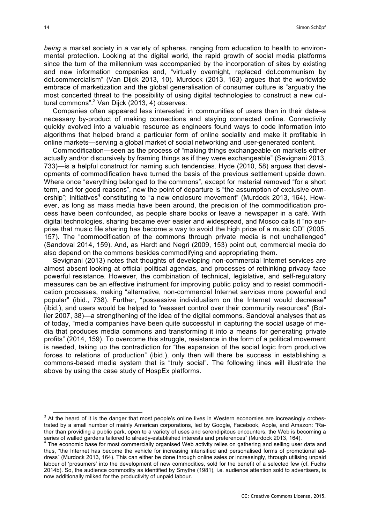*being* a market society in a variety of spheres, ranging from education to health to environmental protection. Looking at the digital world, the rapid growth of social media platforms since the turn of the millennium was accompanied by the incorporation of sites by existing and new information companies and, "virtually overnight, replaced dot.communism by dot.commercialism" (Van Dijck 2013, 10). Murdock (2013, 163) argues that the worldwide embrace of marketization and the global generalisation of consumer culture is "arguably the most concerted threat to the possibility of using digital technologies to construct a new cultural commons". <sup>3</sup> Van Dijck (2013, 4) observes:

Companies often appeared less interested in communities of users than in their data–a necessary by-product of making connections and staying connected online. Connectivity quickly evolved into a valuable resource as engineers found ways to code information into algorithms that helped brand a particular form of online sociality and make it profitable in online markets—serving a global market of social networking and user-generated content.

Commodification—seen as the process of "making things exchangeable on markets either actually and/or discursively by framing things as if they were exchangeable" (Sevignani 2013, 733)—is a helpful construct for naming such tendencies. Hyde (2010, 58) argues that developments of commodification have turned the basis of the previous settlement upside down. Where once "everything belonged to the commons", except for material removed "for a short term, and for good reasons", now the point of departure is "the assumption of exclusive ownership"; Initiatives<sup>4</sup> constituting to "a new enclosure movement" (Murdock 2013, 164). However, as long as mass media have been around, the precision of the commodification process have been confounded, as people share books or leave a newspaper in a café. With digital technologies, sharing became ever easier and widespread, and Mosco calls it "no surprise that music file sharing has become a way to avoid the high price of a music CD" (2005, 157). The "commodification of the commons through private media is not unchallenged" (Sandoval 2014, 159). And, as Hardt and Negri (2009, 153) point out, commercial media do also depend on the commons besides commodifying and appropriating them.

Sevignani (2013) notes that thoughts of developing non-commercial Internet services are almost absent looking at official political agendas, and processes of rethinking privacy face powerful resistance. However, the combination of technical, legislative, and self-regulatory measures can be an effective instrument for improving public policy and to resist commodification processes, making "alternative, non-commercial Internet services more powerful and popular" (ibid., 738). Further, "possessive individualism on the Internet would decrease" (ibid.), and users would be helped to "reassert control over their community resources" (Bollier 2007, 38)—a strengthening of the idea of the digital commons. Sandoval analyses that as of today, "media companies have been quite successful in capturing the social usage of media that produces media commons and transforming it into a means for generating private profits" (2014, 159). To overcome this struggle, resistance in the form of a political movement is needed, taking up the contradiction for "the expansion of the social logic from productive forces to relations of production" (ibid.), only then will there be success in establishing a commons-based media system that is "truly social". The following lines will illustrate the above by using the case study of HospEx platforms.

 $3$  At the heard of it is the danger that most people's online lives in Western economies are increasingly orchestrated by a small number of mainly American corporations, led by Google, Facebook, Apple, and Amazon: "Rather than providing a public park, open to a variety of uses and serendipitous encounters, the Web is becoming a series of walled gardens tailored to already-established interests and preferences" (Murdock 2013, 164).<br><sup>4</sup> The economic base for most commercially organised Web activity relies on gathering and selling user data and

thus, "the Internet has become the vehicle for increasing intensified and personalised forms of promotional address" (Murdock 2013, 164). This can either be done through online sales or increasingly, through utilising unpaid labour of 'prosumers' into the development of new commodities, sold for the benefit of a selected few (cf. Fuchs 2014b). So, the audience commodity as identified by Smythe (1981), i.e. audience attention sold to advertisers, is now additionally milked for the productivity of unpaid labour.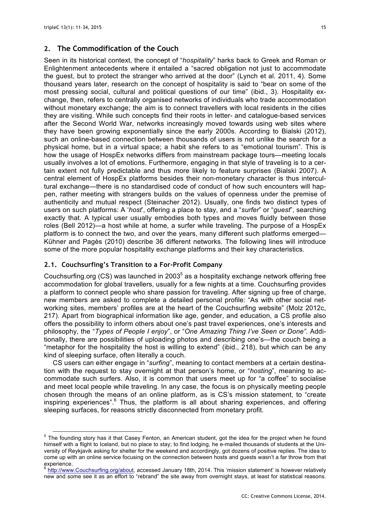# **2. The Commodification of the Couch**

Seen in its historical context, the concept of "*hospitality*" harks back to Greek and Roman or Enlightenment antecedents where it entailed a "sacred obligation not just to accommodate the guest, but to protect the stranger who arrived at the door" (Lynch et al. 2011, 4). Some thousand years later, research on the concept of hospitality is said to "bear on some of the most pressing social, cultural and political questions of our time" (ibid., 3). Hospitality exchange, then, refers to centrally organised networks of individuals who trade accommodation without monetary exchange; the aim is to connect travellers with local residents in the cities they are visiting. While such concepts find their roots in letter- and catalogue-based services after the Second World War, networks increasingly moved towards using web sites where they have been growing exponentially since the early 2000s. According to Bialski (2012), such an online-based connection between thousands of users is not unlike the search for a physical home, but in a virtual space; a habit she refers to as "emotional tourism". This is how the usage of HospEx networks differs from mainstream package tours—meeting locals usually involves a lot of emotions. Furthermore, engaging in that style of traveling is to a certain extent not fully predictable and thus more likely to feature surprises (Bialski 2007). A central element of HospEx platforms besides their non-monetary character is thus intercultural exchange—there is no standardised code of conduct of how such encounters will happen, rather meeting with strangers builds on the values of openness under the premise of authenticity and mutual respect (Steinacher 2012). Usually, one finds two distinct types of users on such platforms: A '*host*', offering a place to stay, and a "*surfer*" or "*guest*", searching exactly that. A typical user usually embodies both types and moves fluidly between those roles (Bell 2012)—a host while at home, a surfer while traveling. The purpose of a HospEx platform is to connect the two, and over the years, many different such platforms emerged— Kühner and Pagès (2010) describe 36 different networks. The following lines will introduce some of the more popular hospitality exchange platforms and their key characteristics.

## **2.1. Couchsurfing's Transition to a For-Profit Company**

Couchsurfing.org (CS) was launched in 2003 $<sup>5</sup>$  as a hospitality exchange network offering free</sup> accommodation for global travellers, usually for a few nights at a time. Couchsurfing provides a platform to connect people who share passion for traveling. After signing up free of charge, new members are asked to complete a detailed personal profile: "As with other social networking sites, members' profiles are at the heart of the Couchsurfing website" (Molz 2012c, 217). Apart from biographical information like age, gender, and education, a CS profile also offers the possibility to inform others about one's past travel experiences, one's interests and philosophy, the "*Types of People I enjoy*", or "*One Amazing Thing I've Seen or Done".* Additionally, there are possibilities of uploading photos and describing one's—the couch being a "metaphor for the hospitality the host is willing to extend" (ibid., 218), but which can be any kind of sleeping surface, often literally a couch.

CS users can either engage in "*surfing*", meaning to contact members at a certain destination with the request to stay overnight at that person's home, or "*hosting*", meaning to accommodate such surfers. Also, it is common that users meet up for "a coffee" to socialise and meet local people while traveling. In any case, the focus is on physically meeting people chosen through the means of an online platform, as is CS's mission statement, to "create inspiring experiences".<sup>6</sup> Thus, the platform is all about sharing experiences, and offering sleeping surfaces, for reasons strictly disconnected from monetary profit.

<sup>&</sup>lt;sup>5</sup> The founding story has it that Casey Fenton, an American student, got the idea for the project when he found himself with a flight to Iceland, but no place to stay; to find lodging, he e-mailed thousands of students at the University of Reykjavik asking for shelter for the weekend and accordingly, got dozens of positive replies. The idea to come up with an online service focusing on the connection between hosts and guests wasn't a far throw from that experience.

<sup>&</sup>lt;sup>6</sup> http://www.Couchsurfing.org/about, accessed January 18th, 2014. This 'mission statement' is however relatively new and some see it as an effort to "rebrand" the site away from overnight stays, at least for statistical reasons.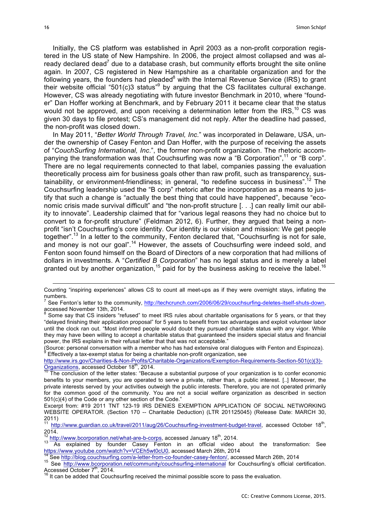Initially, the CS platform was established in April 2003 as a non-profit corporation registered in the US state of New Hampshire. In 2006, the project almost collapsed and was already declared dead<sup>7</sup> due to a database crash, but community efforts brought the site online again. In 2007, CS registered in New Hampshire as a charitable organization and for the following years, the founders had pleaded<sup>8</sup> with the Internal Revenue Service (IRS) to grant their website official "501(c)3 status" by arguing that the CS facilitates cultural exchange. However, CS was already negotiating with future investor Benchmark in 2010, where "founder" Dan Hoffer working at Benchmark, and by February 2011 it became clear that the status would not be approved, and upon receiving a determination letter from the  $\text{IRS},^{10}$  CS was given 30 days to file protest; CS's management did not reply. After the deadline had passed, the non-profit was closed down.

In May 2011, "*Better World Through Travel, Inc.*" was incorporated in Delaware, USA, under the ownership of Casey Fenton and Dan Hoffer, with the purpose of receiving the assets of "*CouchSurfing International, Inc*.", the former non-profit organization. The rhetoric accompanying the transformation was that Couchsurfing was now a "B Corporation",<sup>11</sup> or "B corp". There are no legal requirements connected to that label, companies passing the evaluation theoretically process aim for business goals other than raw profit, such as transparency, sustainability, or environment-friendliness; in general, "to redefine success in business".<sup>12</sup> The Couchsurfing leadership used the "B corp" rhetoric after the incorporation as a means to justify that such a change is "actually the best thing that could have happened", because "economic crisis made survival difficult" and "the non-profit structure [. . .] can really limit our ability to innovate". Leadership claimed that for "various legal reasons they had no choice but to convert to a for-profit structure" (Feldman 2012, 6). Further, they argued that being a nonprofit "isn't Couchsurfing's core identity. Our identity is our vision and mission: We get people together".<sup>13</sup> In a letter to the community, Fenton declared that, "Couchsurfing is not for sale, and money is not our goal".<sup>14</sup> However, the assets of Couchsurfing were indeed sold, and Fenton soon found himself on the Board of Directors of a new corporation that had millions of dollars in investments. A "*Certified B Corporation*" has no legal status and is merely a label granted out by another organization,<sup>15</sup> paid for by the business asking to receive the label.<sup>16</sup>

(Source: personal conversation with a member who has had extensive oral dialogues with Fenton and Espinoza). <sup>9</sup> Effectively a tax-exempt status for being a charitable non-profit organization, see

http://www.irs.gov/Charities-&-Non-Profits/Charitable-Organizations/Exemption-Requirements-Section-501(c)(3)-  $\overline{\text{Organizations}}$ , accessed October 18<sup>th</sup>, 2014.<br><sup>10</sup> The conclusion of the letter states: "Because a substantial purpose of your organization is to confer economic

1

Counting "inspiring experiences" allows CS to count all meet-ups as if they were overnight stays, inflating the numbers.

 $^7$  See Fenton's letter to the community, http://techcrunch.com/2006/06/29/couchsurfing-deletes-itself-shuts-down, accessed November 13th, 2014.<br><sup>8</sup> Some say that CS insiders "refused" to meet IRS rules about charitable organisations for 5 years, or that they

<sup>&</sup>quot;delayed finishing their application proposal" for 5 years to benefit from tax advantages and exploit volunteer labor until the clock ran out. "Most informed people would doubt they pursued charitable status with any vigor. While they may have been willing to accept a charitable status that guaranteed the insiders special status and financial power, the IRS explains in their refusal letter that that was not acceptable."

benefits to your members, you are operated to serve a private, rather than, a public interest. [..] Moreover, the private interests served by your activities outweigh the public interests. Therefore, you are not operated primarily for the common good of the community. You are not a social welfare organization as described in section 501(c)(4) of the Code or any other section of the Code."

Excerpt from: #19 2011 TNT 123-19 IRS DENIES EXEMPTION APPLICATION OF SOCIAL NETWORKING WEBSITE OPERATOR. (Section 170 -- Charitable Deduction) (LTR 201125045) (Release Date: MARCH 30, 2011)

<sup>&</sup>lt;sup>11</sup> http://www.guardian.co.uk/travel/2011/aug/26/Couchsurfing-investment-budget-travel, accessed October 18<sup>th</sup>, 2014.

<sup>&</sup>lt;sup>12</sup> http://www.bcorporation.net/what-are-b-corps, accessed January 18<sup>th</sup>, 2014.<br><sup>13</sup> As explained by founder Casey Fenton in an official video about the transformation: See https://www.youtube.com/watch?v=VCEh5wt0cU0, accessed March 26th, 2014<br><sup>14</sup> See http://blog.couchsurfing.com/a-letter-from-co-founder-casey-fenton/, accessed March 26th, 2014<br><sup>15</sup> See http://www.bcorporation.net/community/

Accessed October 7<sup>th</sup>, 2014.<br><sup>16</sup> It can be added that Couchsurfing received the minimal possible score to pass the evaluation.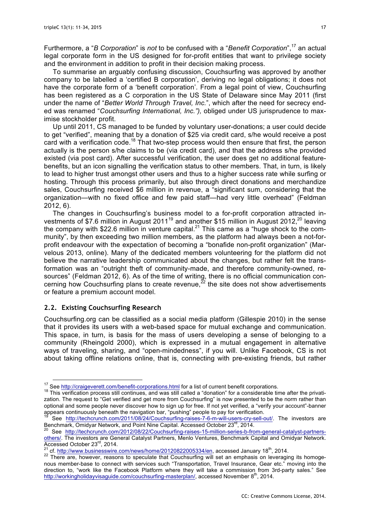Furthermore, a "*B Corporation*" is *not* to be confused with a "*Benefit Corporation*", <sup>17</sup> an actual legal corporate form in the US designed for for-profit entities that want to privilege society and the environment in addition to profit in their decision making process.

To summarise an arguably confusing discussion, Couchsurfing was approved by another company to be labelled a 'certified B corporation', deriving no legal obligations; it does not have the corporate form of a 'benefit corporation'. From a legal point of view, Couchsurfing has been registered as a C corporation in the US State of Delaware since May 2011 (first under the name of "*Better World Through Travel, Inc.*", which after the need for secrecy ended was renamed "*Couchsurfing International, Inc."),* obliged under US jurisprudence to maximise stockholder profit.

Up until 2011, CS managed to be funded by voluntary user-donations; a user could decide to get "verified", meaning that by a donation of \$25 via credit card, s/he would receive a post card with a verification code.<sup>18</sup> That two-step process would then ensure that first, the person actually is the person s/he claims to be (via credit card), and that the address s/he provided existed (via post card). After successful verification, the user does get no additional featurebenefits, but an icon signalling the verification status to other members. That, in turn, is likely to lead to higher trust amongst other users and thus to a higher success rate while surfing or hosting. Through this process primarily, but also through direct donations and merchandize sales, Couchsurfing received \$6 million in revenue, a "significant sum, considering that the organization—with no fixed office and few paid staff—had very little overhead" (Feldman 2012, 6).

The changes in Couchsurfing's business model to a for-profit corporation attracted investments of \$7.6 million in August 2011<sup>19</sup> and another \$15 million in August 2012,<sup>20</sup> leaving the company with \$22.6 million in venture capital.<sup>21</sup> This came as a "huge shock to the community", by then exceeding two million members, as the platform had always been a not-forprofit endeavour with the expectation of becoming a "bonafide non-profit organization" (Marvelous 2013, online). Many of the dedicated members volunteering for the platform did not believe the narrative leadership communicated about the changes, but rather felt the transformation was an "outright theft of community-made, and therefore community-owned, resources" (Feldman 2012, 6). As of the time of writing, there is no official communication concerning how Couchsurfing plans to create revenue.<sup>22</sup> the site does not show advertisements or feature a premium account model.

## **2.2. Existing Couchsurfing Research**

Couchsurfing.org can be classified as a social media platform (Gillespie 2010) in the sense that it provides its users with a web-based space for mutual exchange and communication. This space, in turn, is basis for the mass of users developing a sense of belonging to a community (Rheingold 2000), which is expressed in a mutual engagement in alternative ways of traveling, sharing, and "open-mindedness", if you will. Unlike Facebook, CS is not about taking offline relations online, that is, connecting with pre-existing friends, but rather

<sup>&</sup>lt;sup>17</sup> See http://craigeverett.com/benefit-corporations.html for a list of current benefit corporations.<br><sup>18</sup> This verification process still continues, and was still called a "donation" for a considerable time after the pr zation. The request to "Get verified and get more from Couchsurfing" is now presented to be the norm rather than optional and some people never discover how to sign up for free. If not yet verified, a "verify your account"-banner appears continuously beneath the navigation bar, "pushing" people to pay for verification.

<sup>&</sup>lt;sup>19</sup> See http://techcrunch.com/2011/08/24/Couchsurfing-raises-7-6-m-will-users-cry-sell-out/. The investors are Benchmark, Omidyar Network, and Point Nine Capital. Accessed October  $23^{\text{rd}}$ , 2014.

See http://techcrunch.com/2012/08/22/Couchsurfing-raises-15-million-series-b-from-general-catalyst-partnersothers/. The investors are General Catalyst Partners, Menlo Ventures, Benchmark Capital and Omidyar Network.<br>Accessed October 23<sup>rd</sup>, 2014.

<sup>&</sup>lt;sup>21</sup> cf. http://www.businesswire.com/news/home/20120822005334/en, accessed January 18<sup>th</sup>, 2014.<br><sup>22</sup> There are, however, reasons to speculate that Couchsurfing will set an emphasis on leveraging its homogenous member-base to connect with services such "Transportation, Travel Insurance, Gear etc." moving into the direction to, "work like the Facebook Platform where they will take a commission from 3rd-party sales." See http://workingholidayvisaguide.com/couchsurfing-masterplan/, accessed November 8<sup>th</sup>, 2014.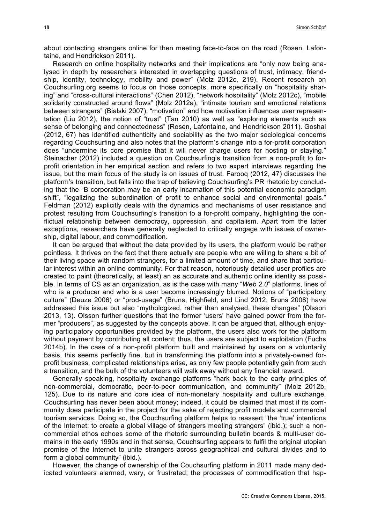about contacting strangers online for then meeting face-to-face on the road (Rosen, Lafontaine, and Hendrickson 2011).

Research on online hospitality networks and their implications are "only now being analysed in depth by researchers interested in overlapping questions of trust, intimacy, friendship, identity, technology, mobility and power" (Molz 2012c, 219). Recent research on Couchsurfing.org seems to focus on those concepts, more specifically on "hospitality sharing" and "cross-cultural interactions" (Chen 2012), "network hospitality" (Molz 2012c), "mobile solidarity constructed around flows" (Molz 2012a), "intimate tourism and emotional relations between strangers" (Bialski 2007), "motivation" and how motivation influences user representation (Liu 2012), the notion of "trust" (Tan 2010) as well as "exploring elements such as sense of belonging and connectedness" (Rosen, Lafontaine, and Hendrickson 2011). Goshal (2012, 67) has identified authenticity and sociability as the two major sociological concerns regarding Couchsurfing and also notes that the platform's change into a for-profit corporation does "undermine its core promise that it will never charge users for hosting or staying." Steinacher (2012) included a question on Couchsurfing's transition from a non-profit to forprofit orientation in her empirical section and refers to two expert interviews regarding the issue, but the main focus of the study is on issues of trust. Farooq (2012, 47) discusses the platform's transition, but falls into the trap of believing Couchsurfing's PR rhetoric by concluding that the "B corporation may be an early incarnation of this potential economic paradigm shift", "legalizing the subordination of profit to enhance social and environmental goals." Feldman (2012) explicitly deals with the dynamics and mechanisms of user resistance and protest resulting from Couchsurfing's transition to a for-profit company, highlighting the conflictual relationship between democracy, oppression, and capitalism. Apart from the latter exceptions, researchers have generally neglected to critically engage with issues of ownership, digital labour, and commodification.

It can be argued that without the data provided by its users, the platform would be rather pointless. It thrives on the fact that there actually are people who are willing to share a bit of their living space with random strangers, for a limited amount of time, and share that particular interest within an online community. For that reason, notoriously detailed user profiles are created to paint (theoretically, at least) an as accurate and authentic online identity as possible. In terms of CS as an organization, as is the case with many "*Web 2.0*" platforms, lines of who is a producer and who is a user become increasingly blurred. Notions of "participatory culture" (Deuze 2006) or "prod-usage" (Bruns, Highfield, and Lind 2012; Bruns 2008) have addressed this issue but also "mythologized, rather than analysed, these changes" (Olsson 2013, 13). Olsson further questions that the former 'users' have gained power from the former "producers", as suggested by the concepts above. It can be argued that, although enjoying participatory opportunities provided by the platform, the users also work for the platform without payment by contributing all content; thus, the users are subject to exploitation (Fuchs 2014b). In the case of a non-profit platform built and maintained by users on a voluntarily basis, this seems perfectly fine, but in transforming the platform into a privately-owned forprofit business, complicated relationships arise, as only few people potentially gain from such a transition, and the bulk of the volunteers will walk away without any financial reward.

Generally speaking, hospitality exchange platforms "hark back to the early principles of non-commercial, democratic, peer-to-peer communication, and community" (Molz 2012b, 125). Due to its nature and core idea of non-monetary hospitality and culture exchange, Couchsurfing has never been about money; indeed, it could be claimed that most if its community does participate in the project for the sake of rejecting profit models and commercial tourism services. Doing so, the Couchsurfing platform helps to reassert "the 'true' intentions of the Internet: to create a global village of strangers meeting strangers" (ibid.); such a noncommercial ethos echoes some of the rhetoric surrounding bulletin boards & multi-user domains in the early 1990s and in that sense, Couchsurfing appears to fulfil the original utopian promise of the Internet to unite strangers across geographical and cultural divides and to form a global community" (ibid.).

However, the change of ownership of the Couchsurfing platform in 2011 made many dedicated volunteers alarmed, wary, or frustrated; the processes of commodification that hap-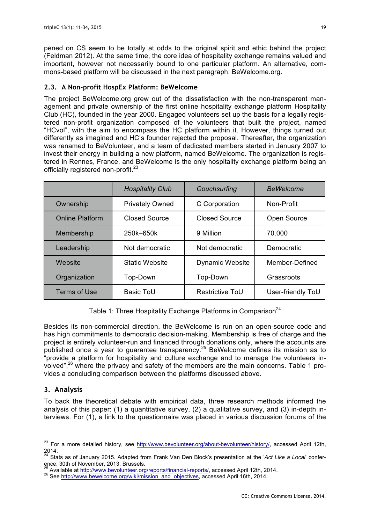pened on CS seem to be totally at odds to the original spirit and ethic behind the project (Feldman 2012). At the same time, the core idea of hospitality exchange remains valued and important, however not necessarily bound to one particular platform. An alternative, commons-based platform will be discussed in the next paragraph: BeWelcome.org.

# **2.3. A Non-profit HospEx Platform: BeWelcome**

The project BeWelcome.org grew out of the dissatisfaction with the non-transparent management and private ownership of the first online hospitality exchange platform Hospitality Club (HC), founded in the year 2000. Engaged volunteers set up the basis for a legally registered non-profit organization composed of the volunteers that built the project, named "HCvol", with the aim to encompass the HC platform within it. However, things turned out differently as imagined and HC's founder rejected the proposal. Thereafter, the organization was renamed to BeVolunteer, and a team of dedicated members started in January 2007 to invest their energy in building a new platform, named BeWelcome. The organization is registered in Rennes, France, and BeWelcome is the only hospitality exchange platform being an officially registered non-profit.<sup>23</sup>

|                        | <b>Hospitality Club</b> | Couchsurfing           | <b>BeWelcome</b>  |
|------------------------|-------------------------|------------------------|-------------------|
| Ownership              | <b>Privately Owned</b>  | C Corporation          | Non-Profit        |
| <b>Online Platform</b> | <b>Closed Source</b>    | <b>Closed Source</b>   | Open Source       |
| Membership             | 250k-650k               | 9 Million              | 70,000            |
| Leadership             | Not democratic          | Not democratic         | <b>Democratic</b> |
| Website                | <b>Static Website</b>   | <b>Dynamic Website</b> | Member-Defined    |
| Organization           | Top-Down                | Top-Down               | Grassroots        |
| Terms of Use           | <b>Basic ToU</b>        | Restrictive ToU        | User-friendly ToU |

Table 1: Three Hospitality Exchange Platforms in Comparison<sup>24</sup>

Besides its non-commercial direction, the BeWelcome is run on an open-source code and has high commitments to democratic decision-making. Membership is free of charge and the project is entirely volunteer-run and financed through donations only, where the accounts are published once a year to guarantee transparency.<sup>25</sup> BeWelcome defines its mission as to "provide a platform for hospitality and culture exchange and to manage the volunteers involved",<sup>26</sup> where the privacy and safety of the members are the main concerns. Table 1 provides a concluding comparison between the platforms discussed above.

# **3. Analysis**

To back the theoretical debate with empirical data, three research methods informed the analysis of this paper: (1) a quantitative survey, (2) a qualitative survey, and (3) in-depth interviews. For (1), a link to the questionnaire was placed in various discussion forums of the

<sup>&</sup>lt;sup>23</sup> For a more detailed history, see http://www.bevolunteer.org/about-bevolunteer/history/, accessed April 12th, 2014.

<sup>24</sup> Stats as of January 2015. Adapted from Frank Van Den Block's presentation at the '*Act Like a Local*' conference, 30th of November, 2013, Brussels.<br>
<sup>25</sup> Available at http://www.bevolunteer.org/reports/financial-reports/, accessed April 12th, 2014.

<sup>26</sup> See http://www.bewelcome.org/wiki/mission\_and\_objectives, accessed April 16th, 2014.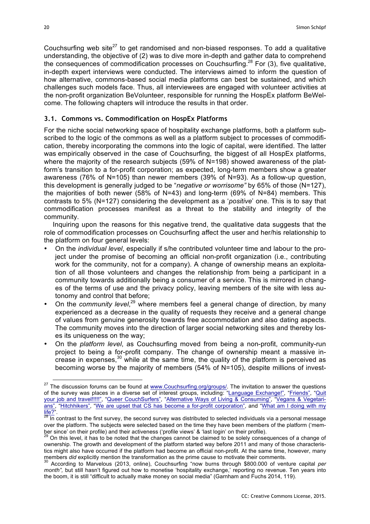Couchsurfing web site $^{27}$  to get randomised and non-biased responses. To add a qualitative understanding, the objective of (2) was to dive more in-depth and gather data to comprehend the consequences of commodification processes on Couchsurfing.<sup>28</sup> For (3), five qualitative, in-depth expert interviews were conducted. The interviews aimed to inform the question of how alternative, commons-based social media platforms can best be sustained, and which challenges such models face. Thus, all interviewees are engaged with volunteer activities at the non-profit organization BeVolunteer, responsible for running the HospEx platform BeWelcome. The following chapters will introduce the results in that order.

#### **3.1. Commons vs. Commodification on HospEx Platforms**

For the niche social networking space of hospitality exchange platforms, both a platform subscribed to the logic of the commons as well as a platform subject to processes of commodification, thereby incorporating the commons into the logic of capital, were identified. The latter was empirically observed in the case of Couchsurfing, the biggest of all HospEx platforms, where the majority of the research subjects (59% of N=198) showed awareness of the platform's transition to a for-profit corporation; as expected, long-term members show a greater awareness (76% of N=105) than newer members (39% of N=93). As a follow-up question, this development is generally judged to be "*negative or worrisome"* by 65% of those (N=127), the majorities of both newer (58% of N=43) and long-term (69% of N=84) members. This contrasts to 5% (N=127) considering the development as a '*positive*' one. This is to say that commodification processes manifest as a threat to the stability and integrity of the community.

Inquiring upon the reasons for this negative trend, the qualitative data suggests that the role of commodification processes on Couchsurfing affect the user and her/his relationship to the platform on four general levels:

- On the *individual level*, especially if s/he contributed volunteer time and labour to the project under the promise of becoming an official non-profit organization (i.e., contributing work for the community, not for a company). A change of ownership means an exploitation of all those volunteers and changes the relationship from being a participant in a community towards additionally being a consumer of a service. This is mirrored in changes of the terms of use and the privacy policy, leaving members of the site with less autonomy and control that before;
- On the *community level*,<sup>29</sup> where members feel a general change of direction, by many experienced as a decrease in the quality of requests they receive and a general change of values from genuine generosity towards free accommodation and also dating aspects. The community moves into the direction of larger social networking sites and thereby loses its uniqueness on the way;
- On the *platform level*, as Couchsurfing moved from being a non-profit, community-run project to being a for-profit company. The change of ownership meant a massive increase in expenses,<sup>30</sup> while at the same time, the quality of the platform is perceived as becoming worse by the majority of members (54% of N=105), despite millions of invest-

<sup>&</sup>lt;sup>27</sup> The discussion forums can be found at www.Couchsurfing.org/groups/. The invitation to answer the questions of the survey was places in a diverse set of interest groups, including: "Language Exchange!", "Friends", "Quit your job and travel!!!!!", "Queer CouchSurfers", "Alternative Ways of Living & Consuming", "Vegans & Vegetarians", "Hitchhikers", "We are upset that CS has become a for-profit corporation", and "What am I doing with my  $\frac{f_1(e)}{28}$ .

In contrast to the first survey, the second survey was distributed to selected individuals via a personal message over the platform. The subjects were selected based on the time they have been members of the platform ('mem-<br>ber since' on their profile) and their activeness ('profile views' & 'last login' on their profile).

<sup>&</sup>lt;sup>29</sup> On this level, it has to be noted that the changes cannot be claimed to be solely consequences of a change of ownership. The growth and development of the platform started way before 2011 and many of those characteristics might also have occurred if the platform had become an official non-profit. At the same time, however, many

members *did* explicitly mention the transformation as the prime cause to motivate their comments.<br><sup>30</sup> According to Marvelous (2013, online), Couchsurfing "now burns through \$800.000 of venture capital *per month",* but still hasn't figured out how to monetise 'hospitality exchange,' reporting no revenue. Ten years into the boom, it is still "difficult to actually make money on social media" (Garnham and Fuchs 2014, 119).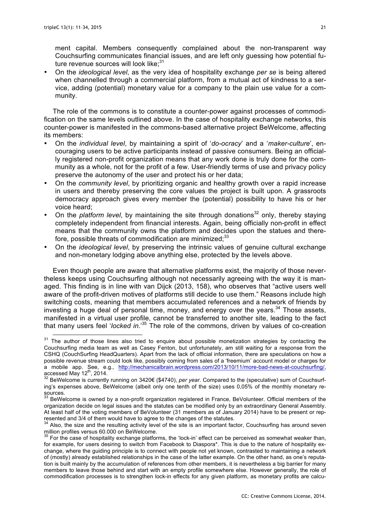ment capital. Members consequently complained about the non-transparent way Couchsurfing communicates financial issues, and are left only guessing how potential future revenue sources will look like; $31$ 

• On the *ideological level*, as the very idea of hospitality exchange *per se* is being altered when channelled through a commercial platform, from a mutual act of kindness to a service, adding (potential) monetary value for a company to the plain use value for a community.

The role of the commons is to constitute a counter-power against processes of commodification on the same levels outlined above. In the case of hospitality exchange networks, this counter-power is manifested in the commons-based alternative project BeWelcome, affecting its members:

- On the *individual level*, by maintaining a spirit of '*do-ocracy*' and a '*maker-culture*', encouraging users to be active participants instead of passive consumers. Being an officially registered non-profit organization means that any work done is truly done for the community as a whole, not for the profit of a few. User-friendly terms of use and privacy policy preserve the autonomy of the user and protect his or her data;
- On the *community level*, by prioritizing organic and healthy growth over a rapid increase in users and thereby preserving the core values the project is built upon. A grassroots democracy approach gives every member the (potential) possibility to have his or her voice heard;
- On the *platform level*, by maintaining the site through donations<sup>32</sup> only, thereby staying completely independent from financial interests. Again, being officially non-profit in effect means that the community owns the platform and decides upon the statues and therefore, possible threats of commodification are minimized;<sup>33</sup>
- On the *ideological level*, by preserving the intrinsic values of genuine cultural exchange and non-monetary lodging above anything else, protected by the levels above.

Even though people are aware that alternative platforms exist, the majority of those nevertheless keeps using Couchsurfing although not necessarily agreeing with the way it is managed. This finding is in line with van Dijck (2013, 158), who observes that "active users well aware of the profit-driven motives of platforms still decide to use them." Reasons include high switching costs, meaning that members accumulated references and a network of friends by investing a huge deal of personal time, money, and energy over the years. $34$  Those assets, manifested in a virtual user profile, cannot be transferred to another site, leading to the fact that many users feel '*locked in*.'35 The role of the commons, driven by values of co-creation

<sup>&</sup>lt;sup>31</sup> The author of those lines also tried to enquire about possible monetization strategies by contacting the Couchsurfing media team as well as Casey Fenton, but unfortunately, am still waiting for a response from the CSHQ (CouchSurfing HeadQuarters). Apart from the lack of official information, there are speculations on how a possible revenue stream could look like, possibly coming from sales of a 'freemium' account model or charges for a mobile app. See, e.g., http://mechanicalbrain.wordpress.com/2013/10/11/more-bad-news-at-couchsurfing/, accessed May 12<sup>th</sup>, 2014. 32 Bewelcome is currently running on 3420€ (\$4740), *per year*. Compared to the (speculative) sum of Couchsurf-<br><sup>32</sup> BeWelcome is currently running on 3420€ (\$4740), *per year*. Compared to the

ing's expenses above, BeWelcome (albeit only one tenth of the size) uses 0,05% of the monthly monetary resources.

 $33$  BeWelcome is owned by a non-profit organization registered in France, BeVolunteer. Official members of the organization decide on legal issues and the statutes can be modified only by an extraordinary General Assembly. At least half of the voting members of BeVolunteer (31 members as of January 2014) have to be present or rep-<br>resented and 3/4 of them would have to agree to the changes of the statutes.

 $34$  Also, the size and the resulting activity level of the site is an important factor, Couchsurfing has around seven million profiles versus 60.000 on BeWelcome.

 $35$  For the case of hospitality exchange platforms, the 'lock-in' effect can be perceived as somewhat weaker than, for example, for users desiring to switch from Facebook to Diaspora\*. This is due to the nature of hospitality exchange, where the guiding principle is to connect with people not yet known, contrasted to maintaining a network of (mostly) already established relationships in the case of the latter example. On the other hand, as one's reputation is built mainly by the accumulation of references from other members, it is nevertheless a big barrier for many members to leave those behind and start with an empty profile somewhere else. However generally, the role of commodification processes is to strengthen lock-in effects for any given platform, as monetary profits are calcu-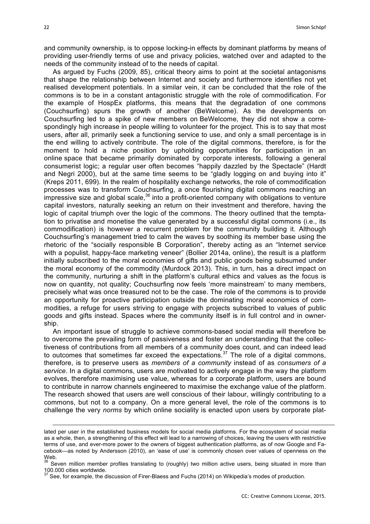and community ownership, is to oppose locking-in effects by dominant platforms by means of providing user-friendly terms of use and privacy policies, watched over and adapted to the needs of the community instead of to the needs of capital.

As argued by Fuchs (2009, 85), critical theory aims to point at the societal antagonisms that shape the relationship between Internet and society and furthermore identifies not yet realised development potentials. In a similar vein, it can be concluded that the role of the commons is to be in a constant antagonistic struggle with the role of commodification. For the example of HospEx platforms, this means that the degradation of one commons (Couchsurfing) spurs the growth of another (BeWelcome). As the developments on Couchsurfing led to a spike of new members on BeWelcome, they did not show a correspondingly high increase in people willing to volunteer for the project. This is to say that most users, after all, primarily seek a functioning service to use, and only a small percentage is in the end willing to actively contribute. The role of the digital commons, therefore, is for the moment to hold a niche position by upholding opportunities for participation in an online space that became primarily dominated by corporate interests, following a general consumerist logic; a regular user often becomes "happily dazzled by the Spectacle" (Hardt and Negri 2000), but at the same time seems to be "gladly logging on and buying into it" (Kreps 2011, 699). In the realm of hospitality exchange networks, the role of commodification processes was to transform Couchsurfing, a once flourishing digital commons reaching an impressive size and global scale,  $36$  into a profit-oriented company with obligations to venture capital investors, naturally seeking an return on their investment and therefore, having the logic of capital triumph over the logic of the commons. The theory outlined that the temptation to privatise and monetise the value generated by a successful digital commons (i.e., its commodification) is however a recurrent problem for the community building it. Although Couchsurfing's management tried to calm the waves by soothing its member base using the rhetoric of the "socially responsible B Corporation", thereby acting as an "Internet service with a populist, happy-face marketing veneer" (Bollier 2014a, online), the result is a platform initially subscribed to the moral economies of gifts and public goods being subsumed under the moral economy of the commodity (Murdock 2013). This, in turn, has a direct impact on the community, nurturing a shift in the platform's cultural ethics and values as the focus is now on quantity, not quality; Couchsurfing now feels 'more mainstream' to many members, precisely what was once treasured not to be the case. The role of the commons is to provide an opportunity for proactive participation outside the dominating moral economics of commodities, a refuge for users striving to engage with projects subscribed to values of public goods and gifts instead. Spaces where the community itself is in full control and in ownership.

An important issue of struggle to achieve commons-based social media will therefore be to overcome the prevailing form of passiveness and foster an understanding that the collectiveness of contributions from all members of a community does count, and can indeed lead to outcomes that sometimes far exceed the expectations.<sup>37</sup> The role of a digital commons, therefore, is to preserve users as *members of a community* instead of as *consumers of a service*. In a digital commons, users are motivated to actively engage in the way the platform evolves, therefore maximising use value, whereas for a corporate platform, users are bound to contribute in narrow channels engineered to maximise the exchange value of the platform. The research showed that users are well conscious of their labour, willingly contributing to a commons, but not to a company. On a more general level, the role of the commons is to challenge the very *norms* by which online sociality is enacted upon users by corporate plat-

1

lated per user in the established business models for social media platforms. For the ecosystem of social media as a whole, then, a strengthening of this effect will lead to a narrowing of choices, leaving the users with restrictive terms of use, and ever-more power to the owners of biggest authentication platforms, as of now Google and Facebook—as noted by Andersson (2010), an 'ease of use' is commonly chosen over values of openness on the Web.

 $36$  Seven million member profiles translating to (roughly) two million active users, being situated in more than 100.000 cities worldwide.

<sup>&</sup>lt;sup>37</sup> See, for example, the discussion of Firer-Blaess and Fuchs (2014) on Wikipedia's modes of production.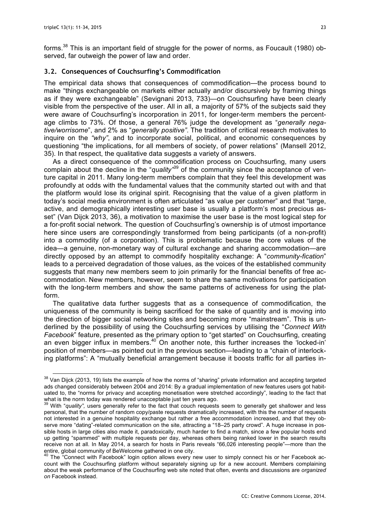forms.<sup>38</sup> This is an important field of struggle for the power of norms, as Foucault (1980) observed, far outweigh the power of law and order.

## **3.2. Consequences of Couchsurfing's Commodification**

The empirical data shows that consequences of commodification—the process bound to make "things exchangeable on markets either actually and/or discursively by framing things as if they were exchangeable" (Sevignani 2013, 733)—on Couchsurfing have been clearly visible from the perspective of the user. All in all, a majority of 57% of the subjects said they were aware of Couchsurfing's incorporation in 2011, for longer-term members the percentage climbs to 73%. Of those, a general 76% judge the development as "*generally negative/worrisome*", and 2% as "*generally positive"*. The tradition of critical research motivates to inquire on the *"why"*, and to incorporate social, political, and economic consequences by questioning "the implications, for all members of society, of power relations" (Mansell 2012, 35). In that respect, the qualitative data suggests a variety of answers.

As a direct consequence of the commodification process on Couchsurfing, many users complain about the decline in the "*quality"* <sup>39</sup> of the community since the acceptance of venture capital in 2011. Many long-term members complain that they feel this development was profoundly at odds with the fundamental values that the community started out with and that the platform would lose its original spirit. Recognising that the value of a given platform in today's social media environment is often articulated "as value per customer" and that "large, active, and demographically interesting user base is usually a platform's most precious asset" (Van Dijck 2013, 36), a motivation to maximise the user base is the most logical step for a for-profit social network. The question of Couchsurfing's ownership is of utmost importance here since users are correspondingly transformed from being participants (of a non-profit) into a commodity (of a corporation). This is problematic because the core values of the idea—a genuine, non-monetary way of cultural exchange and sharing accommodation—are directly opposed by an attempt to commodify hospitality exchange: A "*community-fication*" leads to a perceived degradation of those values, as the voices of the established community suggests that many new members seem to join primarily for the financial benefits of free accommodation. New members, however, seem to share the same motivations for participation with the long-term members and show the same patterns of activeness for using the platform.

The qualitative data further suggests that as a consequence of commodification, the uniqueness of the community is being sacrificed for the sake of quantity and is moving into the direction of bigger social networking sites and becoming more "mainstream". This is underlined by the possibility of using the Couchsurfing services by utilising the "*Connect With Facebook*" feature, presented as the primary option to "get started" on Couchsurfing, creating an even bigger influx in members.40 On another note, this further increases the 'locked-in' position of members—as pointed out in the previous section—leading to a "chain of interlocking platforms": A "mutually beneficial arrangement because it boosts traffic for all parties in-

 $38$  Van Dijck (2013, 19) lists the example of how the norms of "sharing" private information and accepting targeted ads changed considerably between 2004 and 2014: By a gradual implementation of new features users got habituated to, the "norms for privacy and accepting monetisation were stretched accordingly", leading to the fact that what is the norm today was rendered unacceptable just ten years ago.<br><sup>39</sup> With "*quality",* users generally refer to the fact that couch requests seem to generally get shallower and less

personal, that the number of random copy/paste requests dramatically increased, with this the number of requests not interested in a genuine hospitality exchange but rather a free accommodation increased, and that they observe more "dating"-related communication on the site, attracting a "18–25 party crowd". A huge increase in possible hosts in large cities also made it, paradoxically, much harder to find a match, since a few popular hosts end up getting "spammed" with multiple requests per day, whereas others being ranked lower in the search results receive non at all. In May 2014, a search for hosts in Paris reveals "66,026 interesting people"—more than the entire, global community of BeWelcome gathered in one city.

The "Connect with Facebook" login option allows every new user to simply connect his or her Facebook account with the Couchsurfing platform without separately signing up for a new account. Members complaining about the weak performance of the Couchsurfing web site noted that often, events and discussions are *organized on* Facebook instead.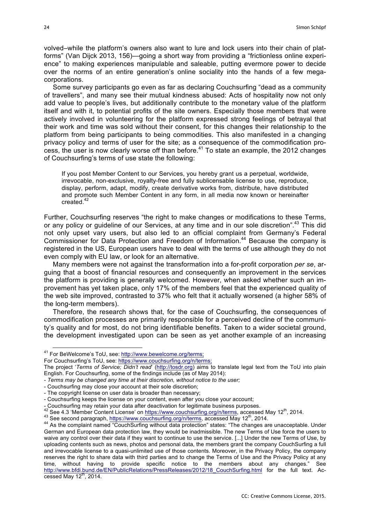volved–while the platform's owners also want to lure and lock users into their chain of platforms" (Van Dijck 2013, 156)—going a short way from providing a "frictionless online experience" to making experiences manipulable and saleable, putting evermore power to decide over the norms of an entire generation's online sociality into the hands of a few megacorporations.

Some survey participants go even as far as declaring Couchsurfing "dead as a community of travellers", and many see their mutual kindness abused: Acts of hospitality now not only add value to people's lives, but additionally contribute to the monetary value of the platform itself and with it, to potential profits of the site owners. Especially those members that were actively involved in volunteering for the platform expressed strong feelings of betrayal that their work and time was sold without their consent, for this changes their relationship to the platform from being participants to being commodities. This also manifested in a changing privacy policy and terms of user for the site; as a consequence of the commodification process, the user is now clearly worse off than before.<sup>41</sup> To state an example, the 2012 changes of Couchsurfing's terms of use state the following:

If you post Member Content to our Services, you hereby grant us a perpetual, worldwide, irrevocable, non-exclusive, royalty-free and fully sublicensable license to use, reproduce, display, perform, adapt, modify, create derivative works from, distribute, have distributed and promote such Member Content in any form, in all media now known or hereinafter created.<sup>42</sup>

Further, Couchsurfing reserves "the right to make changes or modifications to these Terms, or any policy or guideline of our Services, at any time and in our sole discretion".<sup>43</sup> This did not only upset vary users, but also led to an official complaint from Germany's Federal Commissioner for Data Protection and Freedom of Information.<sup>44</sup> Because the company is registered in the US, European users have to deal with the terms of use although they do not even comply with EU law, or look for an alternative.

Many members were not against the transformation into a for-profit corporation *per se*, arguing that a boost of financial resources and consequently an improvement in the services the platform is providing is generally welcomed. However, when asked whether such an improvement has yet taken place, only 17% of the members feel that the experienced quality of the web site improved, contrasted to 37% who felt that it actually worsened (a higher 58% of the long-term members).

Therefore, the research shows that, for the case of Couchsurfing, the consequences of commodification processes are primarily responsible for a perceived decline of the community's quality and for most, do not bring identifiable benefits. Taken to a wider societal ground, the development investigated upon can be seen as yet another example of an increasing

 <sup>41</sup> For BeWelcome's ToU, see: http://www.bewelcome.org/terms;

For Couchsurfing's ToU, see: https://www.couchsurfing.org/n/terms;

The project '*Terms of Service; Didn't read*' (http://tosdr.org) aims to translate legal text from the ToU into plain English. For Couchsurfing, some of the findings include (as of May 2014):

<sup>-</sup> *Terms may be changed any time at their discretion, without notice to the user;*

<sup>-</sup> Couchsurfing may close your account at their sole discretion;

<sup>-</sup> The copyright license on user data is broader than necessary;

<sup>-</sup> Couchsurfing keeps the license on your content, even after you close your account;

<sup>-</sup> Couchsurfing may retain your data after deactivation for legitimate business purposes.<br>
<sup>42</sup> See 4.3 'Member Content License' on https://www.couchsurfing.org/n/terms, accessed May 12<sup>th</sup>, 2014.<br>
<sup>43</sup> See second paragraph German and European data protection law, they would be inadmissible. The new Terms of Use force the users to waive any control over their data if they want to continue to use the service. [...] Under the new Terms of Use, by uploading contents such as news, photos and personal data, the members grant the company CouchSurfing a full and irrevocable license to a quasi-unlimited use of those contents. Moreover, in the Privacy Policy, the company reserves the right to share data with third parties and to change the Terms of Use and the Privacy Policy at any time, without having to provide specific notice to the members about any changes." See http://www.bfdi.bund.de/EN/PublicRelations/PressReleases/2012/18\_CouchSurfing.html for the full text. Accessed May  $12<sup>th</sup>$ , 2014.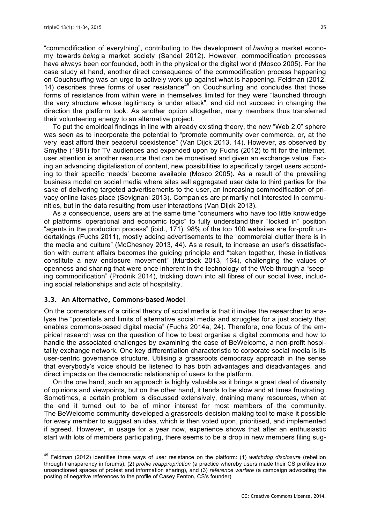"commodification of everything", contributing to the development of *having* a market economy towards *being* a market society (Sandel 2012). However, commodification processes have always been confounded, both in the physical or the digital world (Mosco 2005). For the case study at hand, another direct consequence of the commodification process happening on Couchsurfing was an urge to actively work up against what is happening. Feldman (2012, 14) describes three forms of user resistance $45$  on Couchsurfing and concludes that those forms of resistance from within were in themselves limited for they were "launched through the very structure whose legitimacy is under attack", and did not succeed in changing the direction the platform took. As another option altogether, many members thus transferred their volunteering energy to an alternative project.

To put the empirical findings in line with already existing theory, the new "Web 2.0" sphere was seen as to incorporate the potential to "promote community over commerce, or, at the very least afford their peaceful coexistence" (Van Dijck 2013, 14). However, as observed by Smythe (1981) for TV audiences and expended upon by Fuchs (2012) to fit for the Internet, user attention is another resource that can be monetised and given an exchange value. Facing an advancing digitalisation of content, new possibilities to specifically target users according to their specific 'needs' become available (Mosco 2005). As a result of the prevailing business model on social media where sites sell aggregated user data to third parties for the sake of delivering targeted advertisements to the user, an increasing commodification of privacy online takes place (Sevignani 2013). Companies are primarily not interested in communities, but in the data resulting from user interactions (Van Dijck 2013).

As a consequence, users are at the same time "consumers who have too little knowledge of platforms' operational and economic logic" to fully understand their "locked in" position "agents in the production process" (ibid., 171). 98% of the top 100 websites are for-profit undertakings (Fuchs 2011), mostly adding advertisements to the "commercial clutter there is in the media and culture" (McChesney 2013, 44). As a result, to increase an user's dissatisfaction with current affairs becomes the guiding principle and "taken together, these initiatives constitute a new enclosure movement" (Murdock 2013, 164), challenging the values of openness and sharing that were once inherent in the technology of the Web through a "seeping commodification" (Prodnik 2014), trickling down into all fibres of our social lives, including social relationships and acts of hospitality.

## **3.3. An Alternative, Commons-based Model**

On the cornerstones of a critical theory of social media is that it invites the researcher to analyse the "potentials and limits of alternative social media and struggles for a just society that enables commons-based digital media" (Fuchs 2014a, 24). Therefore, one focus of the empirical research was on the question of how to best organise a digital commons and how to handle the associated challenges by examining the case of BeWelcome, a non-profit hospitality exchange network. One key differentiation characteristic to corporate social media is its user-centric governance structure. Utilising a grassroots democracy approach in the sense that everybody's voice should be listened to has both advantages and disadvantages, and direct impacts on the democratic relationship of users to the platform.

On the one hand, such an approach is highly valuable as it brings a great deal of diversity of opinions and viewpoints, but on the other hand, it tends to be slow and at times frustrating. Sometimes, a certain problem is discussed extensively, draining many resources, when at the end it turned out to be of minor interest for most members of the community. The BeWelcome community developed a grassroots decision making tool to make it possible for every member to suggest an idea, which is then voted upon, prioritised, and implemented if agreed. However, in usage for a year now, experience shows that after an enthusiastic start with lots of members participating, there seems to be a drop in new members filing sug-

 <sup>45</sup> Feldman (2012) identifies three ways of user resistance on the platform: (1) *watchdog disclosure* (rebellion through transparency in forums), (2) *profile reappropriation* (a practice whereby users made their CS profiles into unsanctioned spaces of protest and information sharing), and (3) *reference warfare* (a campaign advocating the posting of negative references to the profile of Casey Fenton, CS's founder).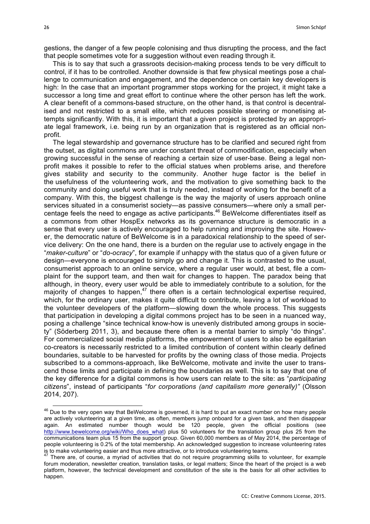gestions, the danger of a few people colonising and thus disrupting the process, and the fact that people sometimes vote for a suggestion without even reading through it.

This is to say that such a grassroots decision-making process tends to be very difficult to control, if it has to be controlled. Another downside is that few physical meetings pose a challenge to communication and engagement, and the dependence on certain key developers is high: In the case that an important programmer stops working for the project, it might take a successor a long time and great effort to continue where the other person has left the work. A clear benefit of a commons-based structure, on the other hand, is that control is decentralised and not restricted to a small elite, which reduces possible steering or monetising attempts significantly. With this, it is important that a given project is protected by an appropriate legal framework, i.e. being run by an organization that is registered as an official nonprofit.

The legal stewardship and governance structure has to be clarified and secured right from the outset, as digital commons are under constant threat of commodification, especially when growing successful in the sense of reaching a certain size of user-base. Being a legal nonprofit makes it possible to refer to the official statues when problems arise, and therefore gives stability and security to the community. Another huge factor is the belief in the usefulness of the volunteering work, and the motivation to give something back to the community and doing useful work that is truly needed, instead of working for the benefit of a company. With this, the biggest challenge is the way the majority of users approach online services situated in a consumerist society—as passive consumers—where only a small percentage feels the need to engage as active participants.46 BeWelcome differentiates itself as a commons from other HospEx networks as its governance structure is democratic in a sense that every user is actively encouraged to help running and improving the site. However, the democratic nature of BeWelcome is in a paradoxical relationship to the speed of service delivery: On the one hand, there is a burden on the regular use to actively engage in the "*maker-culture*" or "*do-ocracy*", for example if unhappy with the status quo of a given future or design—everyone is encouraged to simply go and change it. This is contrasted to the usual, consumerist approach to an online service, where a regular user would, at best, file a complaint for the support team, and then wait for changes to happen. The paradox being that although, in theory, every user would be able to immediately contribute to a solution, for the majority of changes to happen,<sup>47</sup> there often is a certain technological expertise required, which, for the ordinary user, makes it quite difficult to contribute, leaving a lot of workload to the volunteer developers of the platform—slowing down the whole process. This suggests that participation in developing a digital commons project has to be seen in a nuanced way, posing a challenge "since technical know-how is unevenly distributed among groups in society" (Söderberg 2011, 3), and because there often is a mental barrier to simply "do things". For commercialized social media platforms, the empowerment of users to also be egalitarian co-creators is necessarily restricted to a limited contribution of content within clearly defined boundaries, suitable to be harvested for profits by the owning class of those media. Projects subscribed to a commons-approach, like BeWelcome, motivate and invite the user to transcend those limits and participate in defining the boundaries as well. This is to say that one of the key difference for a digital commons is how users can relate to the site: as "*participating citizens*", instead of participants "*for corporations (and capitalism more generally)"* (Olsson 2014, 207).

<sup>&</sup>lt;sup>46</sup> Due to the very open way that BeWelcome is governed, it is hard to put an exact number on how many people are actively volunteering at a given time, as often, members jump onboard for a given task, and then disappear again. An estimated number though would be 120 people, given the official positions (see http://www.bewelcome.org/wiki/Who\_does\_what) plus 50 volunteers for the translation group plus 25 from the communications team plus 15 from the support group. Given 60,000 members as of May 2014, the percentage of people volunteering is 0.2% of the total membership. An acknowledged suggestion to increase volunteering rates is to make volunteering easier and thus more attractive, or to introduce volunteering teams.

There are, of course, a myriad of activities that do not require programming skills to volunteer, for example forum moderation, newsletter creation, translation tasks, or legal matters; Since the heart of the project is a web platform, however, the technical development and constitution of the site is the basis for all other activities to happen.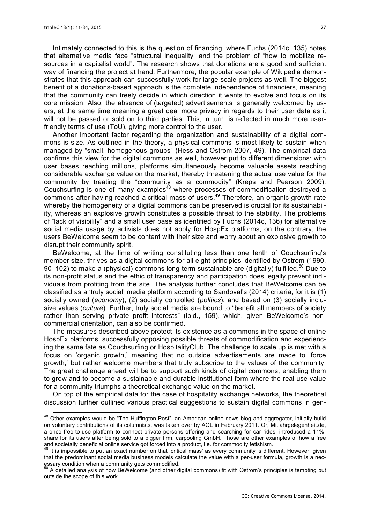Intimately connected to this is the question of financing, where Fuchs (2014c, 135) notes that alternative media face "structural inequality" and the problem of "how to mobilize resources in a capitalist world". The research shows that donations are a good and sufficient way of financing the project at hand. Furthermore, the popular example of Wikipedia demonstrates that this approach can successfully work for large-scale projects as well. The biggest benefit of a donations-based approach is the complete independence of financiers, meaning that the community can freely decide in which direction it wants to evolve and focus on its core mission. Also, the absence of (targeted) advertisements is generally welcomed by users, at the same time meaning a great deal more privacy in regards to their user data as it will not be passed or sold on to third parties. This, in turn, is reflected in much more userfriendly terms of use (ToU), giving more control to the user.

Another important factor regarding the organization and sustainability of a digital commons is size. As outlined in the theory, a physical commons is most likely to sustain when managed by "small, homogenous groups" (Hess and Ostrom 2007, 49). The empirical data confirms this view for the digital commons as well, however put to different dimensions: with user bases reaching millions, platforms simultaneously become valuable assets reaching considerable exchange value on the market, thereby threatening the actual use value for the community by treating the "community as a commodity" (Kreps and Pearson 2009). Couchsurfing is one of many examples<sup>48</sup> where processes of commodification destroyed a commons after having reached a critical mass of users.<sup>49</sup> Therefore, an organic growth rate whereby the homogeneity of a digital commons can be preserved is crucial for its sustainability, whereas an explosive growth constitutes a possible threat to the stability. The problems of "lack of visibility" and a small user base as identified by Fuchs (2014c, 136) for alternative social media usage by activists does not apply for HospEx platforms; on the contrary, the users BeWelcome seem to be content with their size and worry about an explosive growth to disrupt their community spirit.

BeWelcome, at the time of writing constituting less than one tenth of Couchsurfing's member size, thrives as a digital commons for all eight principles identified by Ostrom (1990, 90–102) to make a (physical) commons long-term sustainable are (digitally) fulfilled.<sup>50</sup> Due to its non-profit status and the ethic of transparency and participation does legally prevent individuals from profiting from the site. The analysis further concludes that BeWelcome can be classified as a 'truly social' media platform according to Sandoval's (2014) criteria, for it is (1) socially owned (*economy*), (2) socially controlled (*politics*), and based on (3) socially inclusive values (*culture*). Further, truly social media are bound to "benefit all members of society rather than serving private profit interests" (ibid., 159), which, given BeWelcome's noncommercial orientation, can also be confirmed.

The measures described above protect its existence as a commons in the space of online HospEx platforms, successfully opposing possible threats of commodification and experiencing the same fate as Couchsurfing or HospitalityClub. The challenge to scale up is met with a focus on 'organic growth,' meaning that no outside advertisements are made to 'force growth,' but rather welcome members that truly subscribe to the values of the community. The great challenge ahead will be to support such kinds of digital commons, enabling them to grow and to become a sustainable and durable institutional form where the real use value for a community triumphs a theoretical exchange value on the market.

On top of the empirical data for the case of hospitality exchange networks, the theoretical discussion further outlined various practical suggestions to sustain digital commons in gen-

<sup>&</sup>lt;sup>48</sup> Other examples would be "The Huffington Post", an American online news blog and aggregator, initially build on voluntary contributions of its columnists, was taken over by AOL in February 2011. Or, Mitfahrgelegenheit.de, a once free-to-use platform to connect private persons offering and searching for car rides, introduced a 11% share for its users after being sold to a bigger firm, carpooling GmbH. Those are other examples of how a free and societally beneficial online service got forced into a product, i.e. for commodity fetishism.

It is impossible to put an exact number on that 'critical mass' as every community is different. However, given that the predominant social media business models calculate the value with a per-user formula, growth is a necessary condition when a community gets commodified.

 $50$  A detailed analysis of how BeWelcome (and other digital commons) fit with Ostrom's principles is tempting but outside the scope of this work.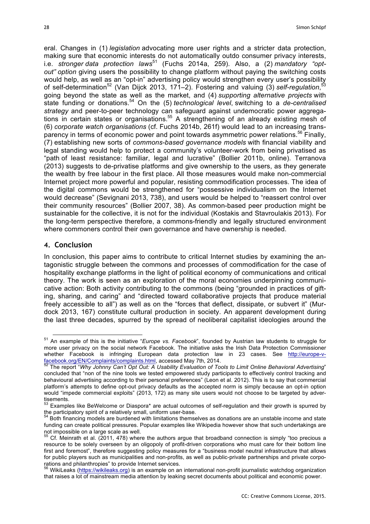eral. Changes in (1) *legislation* advocating more user rights and a stricter data protection, making sure that economic interests do not automatically outdo consumer privacy interests, i.e. *stronger data protection laws*<sup>51</sup> (Fuchs 2014a, 259). Also, a (2) *mandatory* "opt*out" option* giving users the possibility to change platform without paying the switching costs would help, as well as an "opt-in" advertising policy would strengthen every user's possibility of self-determination<sup>52</sup> (Van Dijck 2013, 171–2). Fostering and valuing (3) self-regulation, 53 going beyond the state as well as the market, and (4) *supporting alternative projects* with state funding or donations.<sup>54</sup> On the (5) *technological level*, switching to a *de-centralised strategy* and peer-to-peer technology can safeguard against undemocratic power aggregations in certain states or organisations.<sup>55</sup> A strengthening of an already existing mesh of (6) *corporate watch organisations* (cf. Fuchs 2014b, 261f) would lead to an increasing transparency in terms of economic power and point towards asymmetric power relations.<sup>56</sup> Finally, (7) establishing new sorts of *commons-based governance models* with financial viability and legal standing would help to protect a community's volunteer-work from being privatised as "path of least resistance: familiar, legal and lucrative" (Bollier 2011b, online). Terranova (2013) suggests to de-privatise platforms and give ownership to the users, as they generate the wealth by free labour in the first place. All those measures would make non-commercial Internet project more powerful and popular, resisting commodification processes. The idea of the digital commons would be strengthened for "possessive individualism on the Internet would decrease" (Sevignani 2013, 738), and users would be helped to "reassert control over their community resources" (Bollier 2007, 38). As common-based peer production might be sustainable for the collective, it is not for the individual (Kostakis and Stavroulakis 2013). For the long-term perspective therefore, a commons-friendly and legally structured environment where commoners control their own governance and have ownership is needed.

# **4. Conclusion**

In conclusion, this paper aims to contribute to critical Internet studies by examining the antagonistic struggle between the commons and processes of commodification for the case of hospitality exchange platforms in the light of political economy of communications and critical theory. The work is seen as an exploration of the moral economies underpinning communicative action: Both activity contributing to the commons (being "grounded in practices of gifting, sharing, and caring" and "directed toward collaborative projects that produce material freely accessible to all") as well as on the "forces that deflect, dissipate, or subvert it" (Murdock 2013, 167) constitute cultural production in society. An apparent development during the last three decades, spurred by the spread of neoliberal capitalist ideologies around the

 <sup>51</sup> An example of this is the initiative "*Europe vs. Facebook*", founded by Austrian law students to struggle for more user privacy on the social network Facebook. The initiative asks the Irish Data Protection Commissioner whether Facebook is infringing European data protection law in 23 cases. See http://europe-v-<br>facebook.org/EN/Complaints/complaints.html, accessed May 7th, 2014.

The report "Why Johnny Can't Opt Out: A Usability Evaluation of Tools to Limit Online Behavioral Advertising" concluded that "non of the nine tools we tested empowered study participants to effectively control tracking and behavioural advertising according to their personal preferences" (Leon et al. 2012). This is to say that commercial platform's attempts to define opt-out privacy defaults as the accepted norm is simply because an opt-in option would "impede commercial exploits" (2013, 172) as many site users would not choose to be targeted by advertisements.

 $53$  Examples like BeWelcome or Diaspora\* are actual outcomes of self-regulation and their growth is spurred by the participatory spirit of a relatively small, uniform user-base.

Both financing models are burdened with limitations themselves as donations are an unstable income and state funding can create political pressures. Popular examples like Wikipedia however show that such undertakings are not impossible on a large scale as well.

 $55$  Cf. Meinrath et al. (2011, 478) where the authors argue that broadband connection is simply "too precious a resource to be solely overseen by an oligopoly of profit-driven corporations who must care for their bottom line first and foremost", therefore suggesting policy measures for a "business model neutral infrastructure that allows for public players such as municipalities and non-profits, as well as public-private partnerships and private corporations and philanthropies" to provide Internet services.<br>
<sup>56</sup> WikiLeaks (https://wikileaks.org) is an example on an international non-profit journalistic watchdog organization

that raises a lot of mainstream media attention by leaking secret documents about political and economic power.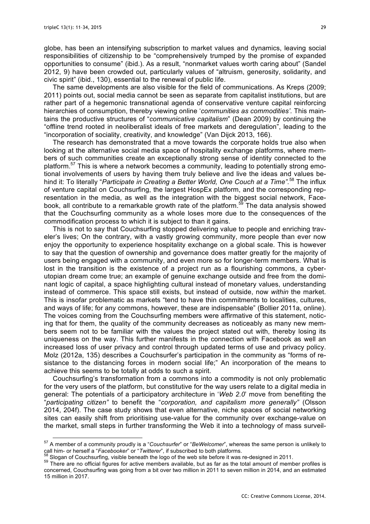globe, has been an intensifying subscription to market values and dynamics, leaving social responsibilities of citizenship to be "comprehensively trumped by the promise of expanded opportunities to consume" (ibid.). As a result, "nonmarket values worth caring about" (Sandel 2012, 9) have been crowded out, particularly values of "altruism, generosity, solidarity, and civic spirit" (ibid., 130), essential to the renewal of public life.

The same developments are also visible for the field of communications. As Kreps (2009; 2011) points out, social media cannot be seen as separate from capitalist institutions, but are rather part of a hegemonic transnational agenda of conservative venture capital reinforcing hierarchies of consumption, thereby viewing online '*communities as commodities'.* This maintains the productive structures of "*communicative capitalism*" (Dean 2009) by continuing the "offline trend rooted in neoliberalist ideals of free markets and deregulation", leading to the "incorporation of sociality, creativity, and knowledge" (Van Dijck 2013, 166).

The research has demonstrated that a move towards the corporate holds true also when looking at the alternative social media space of hospitality exchange platforms, where members of such communities create an exceptionally strong sense of identity connected to the platform.<sup>57</sup> This is where a network becomes a community, leading to potentially strong emotional involvements of users by having them truly believe and live the ideas and values behind it: To literally "*Participate in Creating a Better World, One Couch at a Time".* <sup>58</sup> The influx of venture capital on Couchsurfing, the largest HospEx platform, and the corresponding representation in the media, as well as the integration with the biggest social network, Facebook, all contribute to a remarkable growth rate of the platform.<sup>59</sup> The data analysis showed that the Couchsurfing community as a whole loses more due to the consequences of the commodification process to which it is subject to than it gains.

This is not to say that Couchsurfing stopped delivering value to people and enriching traveler's lives; On the contrary, with a vastly growing community, more people than ever now enjoy the opportunity to experience hospitality exchange on a global scale. This is however to say that the question of ownership and governance does matter greatly for the majority of users being engaged with a community, and even more so for longer-term members. What is lost in the transition is the existence of a project run as a flourishing commons, a cyberutopian dream come true; an example of genuine exchange outside and free from the dominant logic of capital, a space highlighting cultural instead of monetary values, understanding instead of commerce. This space still exists, but instead of outside, now *within* the market. This is insofar problematic as markets "tend to have thin commitments to localities, cultures, and ways of life; for any commons, however, these are indispensable" (Bollier 2011a, online). The voices coming from the Couchsurfing members were affirmative of this statement, noticing that for them, the quality of the community decreases as noticeably as many new members seem not to be familiar with the values the project stated out with, thereby losing its uniqueness on the way. This further manifests in the connection with Facebook as well an increased loss of user privacy and control through updated terms of use and privacy policy. Molz (2012a, 135) describes a Couchsurfer's participation in the community as "forms of resistance to the distancing forces in modern social life;" An incorporation of the means to achieve this seems to be totally at odds to such a spirit.

Couchsurfing's transformation from a commons into a commodity is not only problematic for the very users of the platform, but constitutive for the way users relate to a digital media in general: The potentials of a participatory architecture in '*Web 2.0*' move from benefiting the "*participating citizen"* to benefit the "*corporation, and capitalism more generally"* (Olsson 2014, 204f). The case study shows that even alternative, niche spaces of social networking sites can easily shift from prioritising use-value for the community over exchange-value on the market, small steps in further transforming the Web it into a technology of mass surveil-

<sup>&</sup>lt;sup>57</sup> A member of a community proudly is a "*Couchsurfer*" or "*BeWelcomer*", whereas the same person is unlikely to call him- or herself a "*Facebooker*" or "*Twitterer*", if subscribed to both platforms.

 $58$  Slogan of Couchsurfing, visible beneath the logo of the web site before it was re-designed in 2011.<br><sup>59</sup> There are no official figures for active members available, but as far as the total amount of member profiles i concerned, Couchsurfing was going from a bit over two million in 2011 to seven million in 2014, and an estimated 15 million in 2017.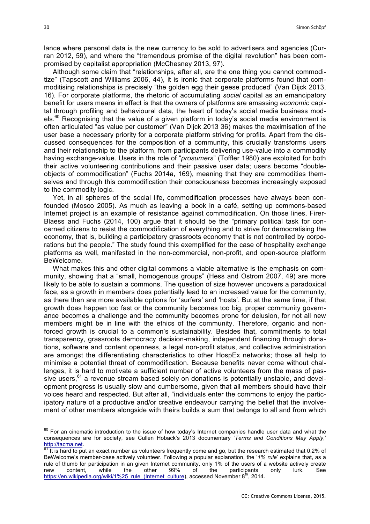lance where personal data is the new currency to be sold to advertisers and agencies (Curran 2012, 59), and where the "tremendous promise of the digital revolution" has been compromised by capitalist appropriation (McChesney 2013, 97).

Although some claim that "relationships, after all, are the one thing you cannot commoditize" (Tapscott and Williams 2006, 44), it is ironic that corporate platforms found that commoditising relationships is precisely "the golden egg their geese produced" (Van Dijck 2013, 16). For corporate platforms, the rhetoric of accumulating *social* capital as an emancipatory benefit for users means in effect is that the owners of platforms are amassing *economic* capital through profiling and behavioural data, the heart of today's social media business mod $e$ ls.<sup>60</sup> Recognising that the value of a given platform in today's social media environment is often articulated "as value per customer" (Van Dijck 2013 36) makes the maximisation of the user base a necessary priority for a corporate platform striving for profits. Apart from the discussed consequences for the composition of a community, this crucially transforms users and their relationship to the platform, from participants delivering use-value into a commodity having exchange-value. Users in the role of "*prosumers*" (Toffler 1980) are exploited for both their active volunteering contributions and their passive user data; users become "doubleobjects of commodification" (Fuchs 2014a, 169), meaning that they are commodities themselves and through this commodification their consciousness becomes increasingly exposed to the commodity logic.

Yet, in all spheres of the social life, commodification processes have always been confounded (Mosco 2005). As much as leaving a book in a café, setting up commons-based Internet project is an example of resistance against commodification. On those lines, Firer-Blaess and Fuchs (2014, 100) argue that it should be the "primary political task for concerned citizens to resist the commodification of everything and to strive for democratising the economy, that is, building a participatory grassroots economy that is not controlled by corporations but the people." The study found this exemplified for the case of hospitality exchange platforms as well, manifested in the non-commercial, non-profit, and open-source platform BeWelcome.

What makes this and other digital commons a viable alternative is the emphasis on community, showing that a "small, homogenous groups" (Hess and Ostrom 2007, 49) are more likely to be able to sustain a commons. The question of size however uncovers a paradoxical face, as a growth in members does potentially lead to an increased value for the community, as there then are more available options for 'surfers' and 'hosts'. But at the same time, if that growth does happen too fast or the community becomes too big, proper community governance becomes a challenge and the community becomes prone for delusion, for not all new members might be in line with the ethics of the community. Therefore, organic and nonforced growth is crucial to a common's sustainability. Besides that, commitments to total transparency, grassroots democracy decision-making, independent financing through donations, software and content openness, a legal non-profit status, and collective administration are amongst the differentiating characteristics to other HospEx networks; those all help to minimise a potential threat of commodification. Because benefits never come without challenges, it is hard to motivate a sufficient number of active volunteers from the mass of passive users,  $61$  a revenue stream based solely on donations is potentially unstable, and development progress is usually slow and cumbersome, given that all members should have their voices heard and respected. But after all, "individuals enter the commons to enjoy the participatory nature of a productive and/or creative endeavour carrying the belief that the involvement of other members alongside with theirs builds a sum that belongs to all and from which

<sup>&</sup>lt;sup>60</sup> For an cinematic introduction to the issue of how today's Internet companies handle user data and what the consequences are for society, see Cullen Hoback's 2013 documentary '*Terms and Conditions May Apply*,' http://tacma.net.<br><sup>61</sup> It is hard to put an exact number as volunteers frequently come and go, but the research estimated that 0,2% of

BeWelcome's member-base actively volunteer. Following a popular explanation, the '*1% rule*' explains that, as a rule of thumb for participation in an given Internet community, only 1% of the users of a website actively create new content, while the other 99% of the participants only lurk. See https://en.wikipedia.org/wiki/1%25\_rule\_(Internet\_culture), accessed November 8<sup>th</sup>, 2014.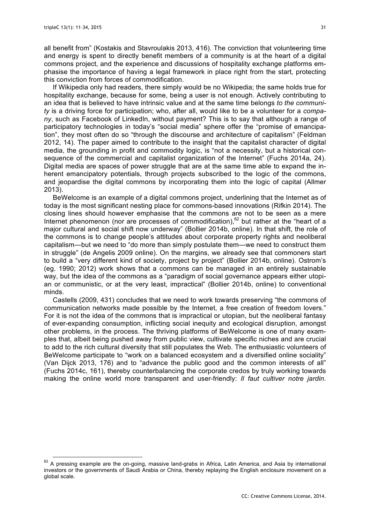all benefit from" (Kostakis and Stavroulakis 2013, 416). The conviction that volunteering time and energy is spent to directly benefit members of a community is at the heart of a digital commons project, and the experience and discussions of hospitality exchange platforms emphasise the importance of having a legal framework in place right from the start, protecting this conviction from forces of commodification.

If Wikipedia only had readers, there simply would be no Wikipedia; the same holds true for hospitality exchange, because for some, being a user is not enough. Actively contributing to an idea that is believed to have intrinsic value and at the same time belongs *to the community* is a driving force for participation; who, after all, would like to be a volunteer for a *company*, such as Facebook of LinkedIn, without payment? This is to say that although a range of participatory technologies in today's "social media" sphere offer the "promise of emancipation", they most often do so "through the discourse and architecture of capitalism" (Feldman 2012, 14). The paper aimed to contribute to the insight that the capitalist character of digital media, the grounding in profit and commodity logic, is "not a necessity, but a historical consequence of the commercial and capitalist organization of the Internet" (Fuchs 2014a, 24). Digital media are spaces of power struggle that are at the same time able to expand the inherent emancipatory potentials, through projects subscribed to the logic of the commons, and jeopardise the digital commons by incorporating them into the logic of capital (Allmer 2013).

BeWelcome is an example of a digital commons project, underlining that the Internet as of today is the most significant nesting place for commons-based innovations (Rifkin 2014). The closing lines should however emphasise that the commons are not to be seen as a mere Internet phenomenon (nor are processes of commodification), $62$  but rather at the "heart of a major cultural and social shift now underway" (Bollier 2014b, online). In that shift, the role of the commons is to change people's attitudes about corporate property rights and neoliberal capitalism—but we need to "do more than simply postulate them—we need to construct them in struggle" (de Angelis 2009 online). On the margins, we already see that commoners start to build a "very different kind of society, project by project" (Bollier 2014b, online). Ostrom's (eg. 1990; 2012) work shows that a commons can be managed in an entirely sustainable way, but the idea of the commons as a "paradigm of social governance appears either utopian or communistic, or at the very least, impractical" (Bollier 2014b, online) to conventional minds.

Castells (2009, 431) concludes that we need to work towards preserving "the commons of communication networks made possible by the Internet, a free creation of freedom lovers." For it is not the idea of the commons that is impractical or utopian, but the neoliberal fantasy of ever-expanding consumption, inflicting social inequity and ecological disruption, amongst other problems, in the process. The thriving platforms of BeWelcome is one of many examples that, albeit being pushed away from public view, cultivate specific niches and are crucial to add to the rich cultural diversity that still populates the Web. The enthusiastic volunteers of BeWelcome participate to "work on a balanced ecosystem and a diversified online sociality" (Van Dijck 2013, 176) and to "advance the public good and the common interests of all" (Fuchs 2014c, 161), thereby counterbalancing the corporate credos by truly working towards making the online world more transparent and user-friendly: *Il faut cultiver notre jardin*.

 $62$  A pressing example are the on-going, massive land-grabs in Africa, Latin America, and Asia by international investors or the governments of Saudi Arabia or China, thereby replaying the English enclosure movement on a global scale.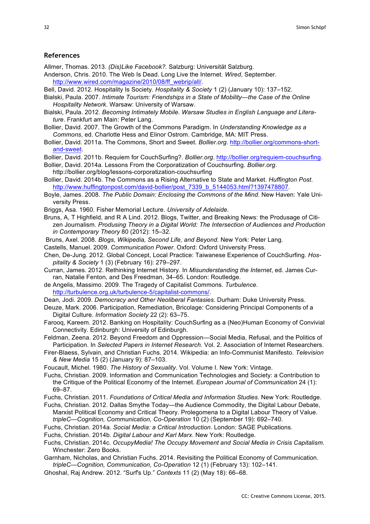#### **References**

Allmer, Thomas. 2013. *(Dis)Like Facebook?.* Salzburg: Universität Salzburg.

- Anderson, Chris. 2010. The Web Is Dead. Long Live the Internet. *Wired*, September. http://www.wired.com/magazine/2010/08/ff\_webrip/all/.
- Bell, David. 2012. Hospitality Is Society. *Hospitality & Society* 1 (2) (January 10): 137–152.
- Bialski, Paula. 2007. *Intimate Tourism: Friendships in a State of Mobility—the Case of the Online Hospitality Network*. Warsaw: University of Warsaw.
- Bialski, Paula. 2012. *Becoming Intimately Mobile*. *Warsaw Studies in English Language and Literature*. Frankfurt am Main: Peter Lang.
- Bollier, David. 2007. The Growth of the Commons Paradigm. In *Understanding Knowledge as a Commons*, ed. Charlotte Hess and Elinor Ostrom. Cambridge, MA: MIT Press.
- Bollier, David. 2011a. The Commons, Short and Sweet. *Bollier.org*. http://bollier.org/commons-shortand-sweet.
- Bollier, David. 2011b. Requiem for CouchSurfing?. *Bollier.org*. http://bollier.org/requiem-couchsurfing.
- Bollier, David. 2014a. Lessons From the Corporatization of Couchsurfing. *Bollier.org*. http://bollier.org/blog/lessons-corporatization-couchsurfing
- Bollier, David. 2014b. The Commons as a Rising Alternative to State and Market. *Huffington Post*. http://www.huffingtonpost.com/david-bollier/post\_7339\_b\_5144053.html?1397478807.
- Boyle, James. 2008. *The Public Domain: Enclosing the Commons of the Mind*. New Haven: Yale University Press.
- Briggs, Asa. 1960. Fisher Memorial Lecture. *University of Adelaide*.
- Bruns, A, T Highfield, and R A Lind. 2012. Blogs, Twitter, and Breaking News: the Produsage of Citizen Journalism. *Produsing Theory in a Digital World: The Intersection of Audiences and Production in Contemporary Theory* 80 (2012): 15–32.
- Bruns, Axel. 2008. *Blogs, Wikipedia, Second Life, and Beyond*. New York: Peter Lang.
- Castells, Manuel. 2009. *Communication Power*. Oxford: Oxford University Press.
- Chen, De-Jung. 2012. Global Concept, Local Practice: Taiwanese Experience of CouchSurfing. *Hospitality & Society* 1 (3) (February 16): 279–297.
- Curran, James. 2012. Rethinking Internet History. In *Misunderstanding the Internet*, ed. James Curran, Natalie Fenton, and Des Freedman, 34–65. London: Routledge.
- de Angelis, Massimo. 2009. The Tragedy of Capitalist Commons. *Turbulence*. http://turbulence.org.uk/turbulence-5/capitalist-commons/.
- Dean, Jodi. 2009. *Democracy and Other Neoliberal Fantasies*. Durham: Duke University Press.
- Deuze, Mark. 2006. Participation, Remediation, Bricolage: Considering Principal Components of a Digital Culture. *Information Society* 22 (2): 63–75.
- Farooq, Kareem. 2012. Banking on Hospitality: CouchSurfing as a (Neo)Human Economy of Convivial Connectivity. Edinburgh: University of Edinburgh.
- Feldman, Zeena. 2012. Beyond Freedom and Oppression—Social Media, Refusal, and the Politics of Participation. In *Selected Papers in Internet Research*. Vol. 2. Association of Internet Researchers.
- Firer-Blaess, Sylvain, and Christian Fuchs. 2014. Wikipedia: an Info-Communist Manifesto. *Television & New Media* 15 (2) (January 9): 87–103.
- Foucault, Michel. 1980. *The History of Sexuality*. Vol. Volume I. New York: Vintage.
- Fuchs, Christian. 2009. Information and Communication Technologies and Society: a Contribution to the Critique of the Political Economy of the Internet. *European Journal of Communication* 24 (1): 69–87.
- Fuchs, Christian. 2011. *Foundations of Critical Media and Information Studies*. New York: Routledge.
- Fuchs, Christian. 2012. Dallas Smythe Today—the Audience Commodity, the Digital Labour Debate, Marxist Political Economy and Critical Theory. Prolegomena to a Digital Labour Theory of Value. *tripleC—Cognition, Communication, Co-Operation* 10 (2) (September 19): 692–740.
- Fuchs, Christian. 2014a. *Social Media: a Critical Introduction*. London: SAGE Publications.
- Fuchs, Christian. 2014b. *Digital Labour and Karl Marx*. New York: Routledge.
- Fuchs, Christian. 2014c. *OccupyMedia! The Occupy Movement and Social Media in Crisis Capitalism.* Winchester: Zero Books.
- Garnham, Nicholas, and Christian Fuchs. 2014. Revisiting the Political Economy of Communication. *tripleC—Cognition, Communication, Co-Operation* 12 (1) (February 13): 102–141.
- Ghoshal, Raj Andrew. 2012. "Surf's Up." *Contexts* 11 (2) (May 18): 66–68.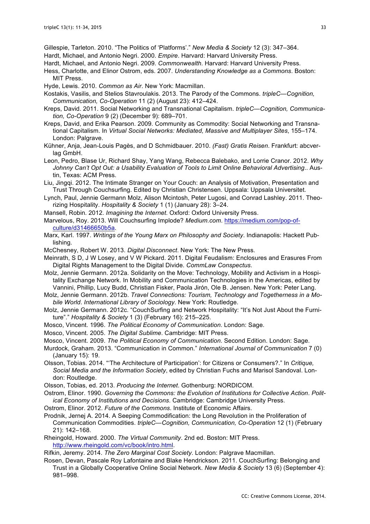Gillespie, Tarleton. 2010. "The Politics of 'Platforms'." *New Media & Society* 12 (3): 347–364. Hardt, Michael, and Antonio Negri. 2000. *Empire*. Harvard: Harvard University Press.

- Hardt, Michael, and Antonio Negri. 2009. *Commonwealth*. Harvard: Harvard University Press.
- Hess, Charlotte, and Elinor Ostrom, eds. 2007. *Understanding Knowledge as a Commons*. Boston: MIT Press.

Hyde, Lewis. 2010. *Common as Air*. New York: Macmillan.

- Kostakis, Vasilis, and Stelios Stavroulakis. 2013. The Parody of the Commons. *tripleC—Cognition, Communication, Co-Operation* 11 (2) (August 23): 412–424.
- Kreps, David. 2011. Social Networking and Transnational Capitalism. *tripleC—Cognition, Communication, Co-Operation* 9 (2) (December 9): 689–701.
- Kreps, David, and Erika Pearson. 2009. Community as Commodity: Social Networking and Transnational Capitalism. In *Virtual Social Networks: Mediated, Massive and Multiplayer Sites*, 155–174. London: Palgrave.
- Kühner, Anja, Jean-Louis Pagès, and D Schmidbauer. 2010. *(Fast) Gratis Reisen*. Frankfurt: abcverlag GmbH.
- Leon, Pedro, Blase Ur, Richard Shay, Yang Wang, Rebecca Balebako, and Lorrie Cranor. 2012. *Why Johnny Can't Opt Out: a Usability Evaluation of Tools to Limit Online Behavioral Advertising*.. Austin, Texas: ACM Press.
- Liu, Jingqi. 2012. The Intimate Stranger on Your Couch: an Analysis of Motivation, Presentation and Trust Through Couchsurfing. Edited by Christian Christensen. Uppsala: Uppsala Universitet.
- Lynch, Paul, Jennie Germann Molz, Alison Mcintosh, Peter Lugosi, and Conrad Lashley. 2011. Theorizing Hospitality. *Hospitality & Society* 1 (1) (January 28): 3–24.
- Mansell, Robin. 2012. *Imagining the Internet*. Oxford: Oxford University Press.
- Marvelous, Roy. 2013. Will Couchsurfing Implode? *Medium.com*. https://medium.com/pop-ofculture/d31466650b5a.
- Marx, Karl. 1997. *Writings of the Young Marx on Philosophy and Society*. Indianapolis: Hackett Publishing.

McChesney, Robert W. 2013. *Digital Disconnect*. New York: The New Press.

- Meinrath, S D, J W Losey, and V W Pickard. 2011. Digital Feudalism: Enclosures and Erasures From Digital Rights Management to the Digital Divide. *CommLaw Conspectus*.
- Molz, Jennie Germann. 2012a. Solidarity on the Move: Technology, Mobility and Activism in a Hospitality Exchange Network. In Mobility and Communication Technologies in the Americas, edited by Vannini, Phillip, Lucy Budd, Christian Fisker, Paola Jirón, Ole B. Jensen. New York: Peter Lang.
- Molz, Jennie Germann. 2012b. *Travel Connections: Tourism, Technology and Togetherness in a Mobile World*. *International Library of Sociology*. New York: Routledge.
- Molz, Jennie Germann. 2012c. "CouchSurfing and Network Hospitality: "It's Not Just About the Furniture"." *Hospitality & Society* 1 (3) (February 16): 215–225.
- Mosco, Vincent. 1996. *The Political Economy of Communication*. London: Sage.
- Mosco, Vincent. 2005. *The Digital Sublime*. Cambridge: MIT Press.
- Mosco, Vincent. 2009. *The Political Economy of Communication*. Second Edition. London: Sage.
- Murdock, Graham. 2013. "Communication in Common." *International Journal of Communication* 7 (0) (January 15): 19.
- Olsson, Tobias. 2014. "'The Architecture of Participation': for Citizens or Consumers?." In *Critique, Social Media and the Information Society*, edited by Christian Fuchs and Marisol Sandoval. London: Routledge.
- Olsson, Tobias, ed. 2013. *Producing the Internet*. Gothenburg: NORDICOM.
- Ostrom, Elinor. 1990. *Governing the Commons: the Evolution of Institutions for Collective Action*. *Political Economy of Institutions and Decisions*. Cambridge: Cambridge University Press.
- Ostrom, Elinor. 2012. *Future of the Commons*. Institute of Economic Affairs.
- Prodnik, Jernej A. 2014. A Seeping Commodification: the Long Revolution in the Proliferation of Communication Commodities. *tripleC—Cognition, Communication, Co-Operation* 12 (1) (February 21): 142–168.
- Rheingold, Howard. 2000. *The Virtual Community*. 2nd ed. Boston: MIT Press. http://www.rheingold.com/vc/book/intro.html.

Rifkin, Jeremy. 2014. *The Zero Marginal Cost Society*. London: Palgrave Macmillan.

Rosen, Devan, Pascale Roy Lafontaine and Blake Hendrickson. 2011. CouchSurfing: Belonging and Trust in a Globally Cooperative Online Social Network. *New Media & Society* 13 (6) (September 4): 981–998.